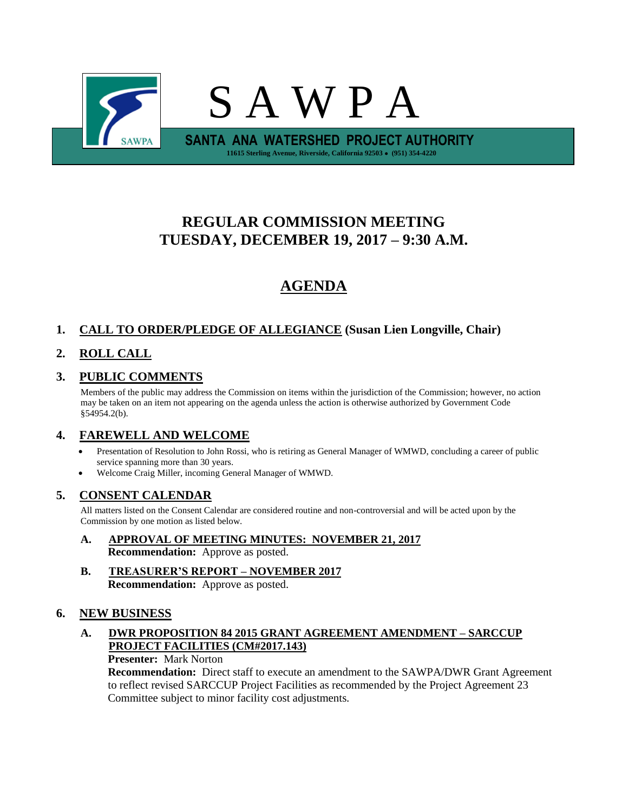

# **REGULAR COMMISSION MEETING TUESDAY, DECEMBER 19, 2017 – 9:30 A.M.**

# **AGENDA**

# **1. CALL TO ORDER/PLEDGE OF ALLEGIANCE (Susan Lien Longville, Chair)**

# **2. ROLL CALL**

# **3. PUBLIC COMMENTS**

Members of the public may address the Commission on items within the jurisdiction of the Commission; however, no action may be taken on an item not appearing on the agenda unless the action is otherwise authorized by Government Code §54954.2(b).

# **4. FAREWELL AND WELCOME**

- Presentation of Resolution to John Rossi, who is retiring as General Manager of WMWD, concluding a career of public service spanning more than 30 years.
- Welcome Craig Miller, incoming General Manager of WMWD.

# **5. CONSENT CALENDAR**

All matters listed on the Consent Calendar are considered routine and non-controversial and will be acted upon by the Commission by one motion as listed below.

- **A. APPROVAL OF MEETING MINUTES: NOVEMBER 21, 2017**
	- **Recommendation:** Approve as posted.
- **B. TREASURER'S REPORT – NOVEMBER 2017 Recommendation:** Approve as posted.

# **6. NEW BUSINESS**

#### **A. DWR PROPOSITION 84 2015 GRANT AGREEMENT AMENDMENT – SARCCUP PROJECT FACILITIES (CM#2017.143)**

#### **Presenter:** Mark Norton

**Recommendation:** Direct staff to execute an amendment to the SAWPA/DWR Grant Agreement to reflect revised SARCCUP Project Facilities as recommended by the Project Agreement 23 Committee subject to minor facility cost adjustments.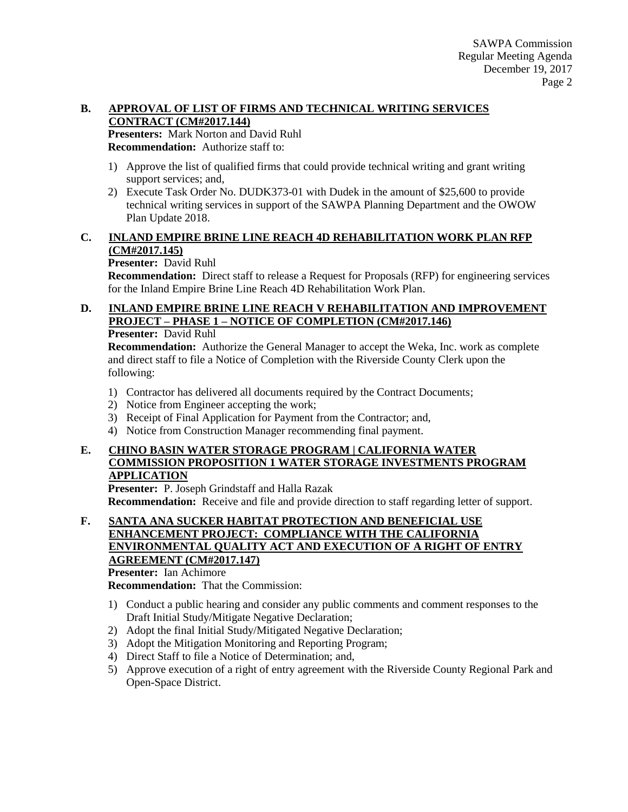#### **B. APPROVAL OF LIST OF FIRMS AND TECHNICAL WRITING SERVICES CONTRACT (CM#2017.144)**

**Presenters:** Mark Norton and David Ruhl **Recommendation:** Authorize staff to:

- 1) Approve the list of qualified firms that could provide technical writing and grant writing support services; and,
- 2) Execute Task Order No. DUDK373-01 with Dudek in the amount of \$25,600 to provide technical writing services in support of the SAWPA Planning Department and the OWOW Plan Update 2018.

# **C. INLAND EMPIRE BRINE LINE REACH 4D REHABILITATION WORK PLAN RFP (CM#2017.145)**

#### **Presenter:** David Ruhl

**Recommendation:** Direct staff to release a Request for Proposals (RFP) for engineering services for the Inland Empire Brine Line Reach 4D Rehabilitation Work Plan.

#### **D. INLAND EMPIRE BRINE LINE REACH V REHABILITATION AND IMPROVEMENT PROJECT – PHASE 1 – NOTICE OF COMPLETION (CM#2017.146) Presenter:** David Ruhl

**Recommendation:** Authorize the General Manager to accept the Weka, Inc. work as complete and direct staff to file a Notice of Completion with the Riverside County Clerk upon the following:

- 1) Contractor has delivered all documents required by the Contract Documents;
- 2) Notice from Engineer accepting the work;
- 3) Receipt of Final Application for Payment from the Contractor; and,
- 4) Notice from Construction Manager recommending final payment.

# **E. CHINO BASIN WATER STORAGE PROGRAM | CALIFORNIA WATER COMMISSION PROPOSITION 1 WATER STORAGE INVESTMENTS PROGRAM APPLICATION**

**Presenter:** P. Joseph Grindstaff and Halla Razak **Recommendation:** Receive and file and provide direction to staff regarding letter of support.

#### **F. SANTA ANA SUCKER HABITAT PROTECTION AND BENEFICIAL USE ENHANCEMENT PROJECT: COMPLIANCE WITH THE CALIFORNIA ENVIRONMENTAL QUALITY ACT AND EXECUTION OF A RIGHT OF ENTRY AGREEMENT (CM#2017.147) Presenter:** Ian Achimore

**Recommendation:** That the Commission:

- 1) Conduct a public hearing and consider any public comments and comment responses to the Draft Initial Study/Mitigate Negative Declaration;
- 2) Adopt the final Initial Study/Mitigated Negative Declaration;
- 3) Adopt the Mitigation Monitoring and Reporting Program;
- 4) Direct Staff to file a Notice of Determination; and,
- 5) Approve execution of a right of entry agreement with the Riverside County Regional Park and Open-Space District.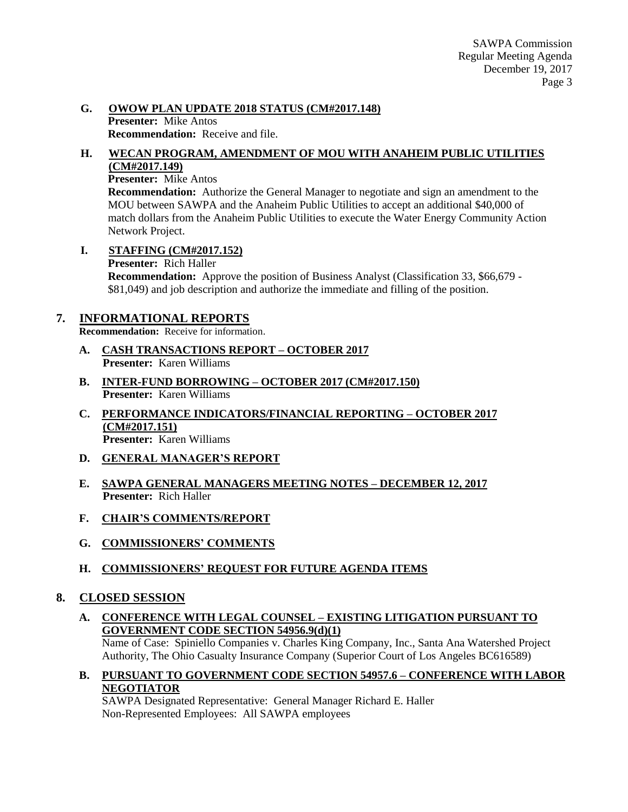#### **G. OWOW PLAN UPDATE 2018 STATUS (CM#2017.148) Presenter:** Mike Antos **Recommendation:** Receive and file.

#### **H. WECAN PROGRAM, AMENDMENT OF MOU WITH ANAHEIM PUBLIC UTILITIES (CM#2017.149)**

#### **Presenter:** Mike Antos

**Recommendation:** Authorize the General Manager to negotiate and sign an amendment to the MOU between SAWPA and the Anaheim Public Utilities to accept an additional \$40,000 of match dollars from the Anaheim Public Utilities to execute the Water Energy Community Action Network Project.

**I. STAFFING (CM#2017.152)**

**Presenter:** Rich Haller

**Recommendation:** Approve the position of Business Analyst (Classification 33, \$66,679 - \$81,049) and job description and authorize the immediate and filling of the position.

# **7. INFORMATIONAL REPORTS**

**Recommendation:** Receive for information.

- **A. CASH TRANSACTIONS REPORT – OCTOBER 2017 Presenter:** Karen Williams
- **B. INTER-FUND BORROWING – OCTOBER 2017 (CM#2017.150) Presenter:** Karen Williams
- **C. PERFORMANCE INDICATORS/FINANCIAL REPORTING – OCTOBER 2017 (CM#2017.151) Presenter:** Karen Williams
- **D. GENERAL MANAGER'S REPORT**
- **E. SAWPA GENERAL MANAGERS MEETING NOTES – DECEMBER 12, 2017 Presenter:** Rich Haller
- **F. CHAIR'S COMMENTS/REPORT**
- **G. COMMISSIONERS' COMMENTS**
- **H. COMMISSIONERS' REQUEST FOR FUTURE AGENDA ITEMS**

# **8. CLOSED SESSION**

**A. CONFERENCE WITH LEGAL COUNSEL – EXISTING LITIGATION PURSUANT TO GOVERNMENT CODE SECTION 54956.9(d)(1)**

Name of Case: Spiniello Companies v. Charles King Company, Inc., Santa Ana Watershed Project Authority, The Ohio Casualty Insurance Company (Superior Court of Los Angeles BC616589)

**B. PURSUANT TO GOVERNMENT CODE SECTION 54957.6 – CONFERENCE WITH LABOR NEGOTIATOR**

SAWPA Designated Representative: General Manager Richard E. Haller Non-Represented Employees: All SAWPA employees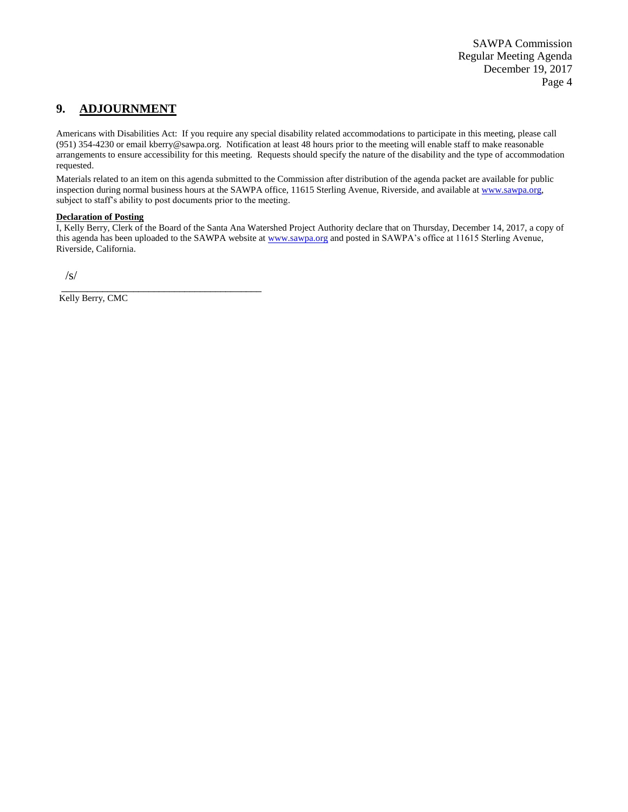# **9. ADJOURNMENT**

Americans with Disabilities Act: If you require any special disability related accommodations to participate in this meeting, please call (951) 354-4230 or email kberry@sawpa.org. Notification at least 48 hours prior to the meeting will enable staff to make reasonable arrangements to ensure accessibility for this meeting. Requests should specify the nature of the disability and the type of accommodation requested.

Materials related to an item on this agenda submitted to the Commission after distribution of the agenda packet are available for public inspection during normal business hours at the SAWPA office, 11615 Sterling Avenue, Riverside, and available a[t www.sawpa.org,](http://www.sawpa.org/) subject to staff's ability to post documents prior to the meeting.

#### **Declaration of Posting**

I, Kelly Berry, Clerk of the Board of the Santa Ana Watershed Project Authority declare that on Thursday, December 14, 2017, a copy of this agenda has been uploaded to the SAWPA website at [www.sawpa.org](http://www.sawpa.org/) and posted in SAWPA's office at 11615 Sterling Avenue, Riverside, California.

/s/

\_\_\_\_\_\_\_\_\_\_\_\_\_\_\_\_\_\_\_\_\_\_\_\_\_\_\_\_\_\_\_\_\_\_\_\_\_\_\_ Kelly Berry, CMC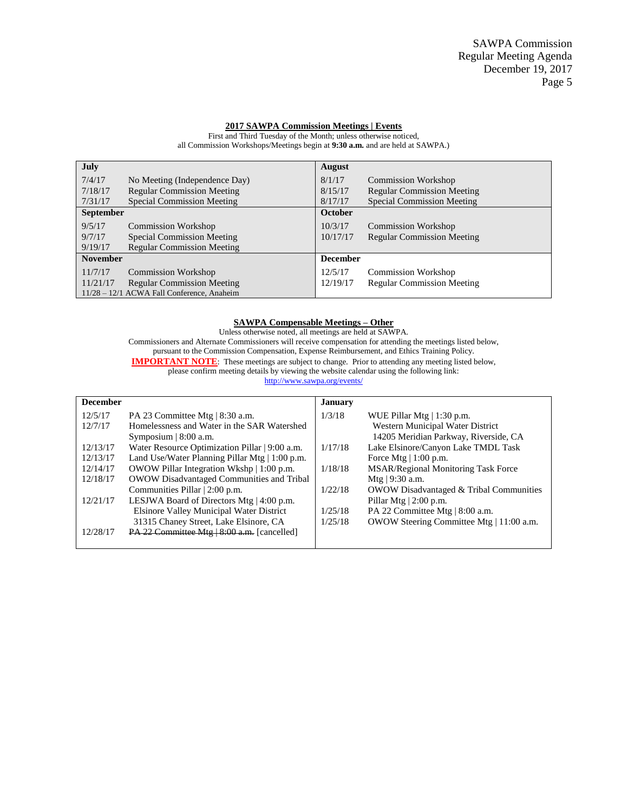#### **2017 SAWPA Commission Meetings | Events**

**July** 7/4/17 No Meeting (Independence Day) 7/18/17 Regular Commission Meeting 7/31/17 Special Commission Meeting **August** 8/1/17 Commission Workshop 8/15/17 Regular Commission Meeting 8/17/17 Special Commission Meeting **September** 9/5/17 Commission Workshop<br>9/7/17 Special Commission Me 9/7/17 Special Commission Meeting<br>9/19/17 Regular Commission Meeting Regular Commission Meeting **October** 10/3/17 Commission Workshop 10/17/17 Regular Commission Meeting **November** 11/7/17 Commission Workshop 11/21/17 Regular Commission Meeting 11/28 – 12/1 ACWA Fall Conference, Anaheim **December** 12/5/17 Commission Workshop 12/19/17 Regular Commission Meeting

First and Third Tuesday of the Month; unless otherwise noticed, all Commission Workshops/Meetings begin at **9:30 a.m.** and are held at SAWPA.)

#### **SAWPA Compensable Meetings – Other**

Unless otherwise noted, all meetings are held at SAWPA. Commissioners and Alternate Commissioners will receive compensation for attending the meetings listed below, pursuant to the Commission Compensation, Expense Reimbursement, and Ethics Training Policy. **IMPORTANT NOTE:** These meetings are subject to change. Prior to attending any meeting listed below, please confirm meeting details by viewing the website calendar using the following link:

<http://www.sawpa.org/events/>

| <b>December</b> |                                                     | <b>January</b> |                                                    |
|-----------------|-----------------------------------------------------|----------------|----------------------------------------------------|
| 12/5/17         | PA 23 Committee Mtg   8:30 a.m.                     | 1/3/18         | WUE Pillar Mtg $ 1:30$ p.m.                        |
| 12/7/17         | Homelessness and Water in the SAR Watershed         |                | Western Municipal Water District                   |
|                 | Symposium $\vert 8:00$ a.m.                         |                | 14205 Meridian Parkway, Riverside, CA              |
| 12/13/17        | Water Resource Optimization Pillar   9:00 a.m.      | 1/17/18        | Lake Elsinore/Canyon Lake TMDL Task                |
| 12/13/17        | Land Use/Water Planning Pillar Mtg $\mid$ 1:00 p.m. |                | Force Mtg $  1:00$ p.m.                            |
| 12/14/17        | OWOW Pillar Integration Wkshp   1:00 p.m.           | 1/18/18        | <b>MSAR/Regional Monitoring Task Force</b>         |
| 12/18/17        | OWOW Disadvantaged Communities and Tribal           |                | Mtg $ 9:30$ a.m.                                   |
|                 | Communities Pillar   2:00 p.m.                      | 1/22/18        | <b>OWOW Disadvantaged &amp; Tribal Communities</b> |
| 12/21/17        | LESJWA Board of Directors Mtg $ 4:00 \text{ p.m.} $ |                | Pillar Mtg $ 2:00$ p.m.                            |
|                 | <b>Elsinore Valley Municipal Water District</b>     | 1/25/18        | PA 22 Committee Mtg   8:00 a.m.                    |
|                 | 31315 Chaney Street, Lake Elsinore, CA              | 1/25/18        | OWOW Steering Committee Mtg   11:00 a.m.           |
| 12/28/17        | $PA$ 22 Committee Mtg $ 8:00$ a.m. [cancelled]      |                |                                                    |
|                 |                                                     |                |                                                    |